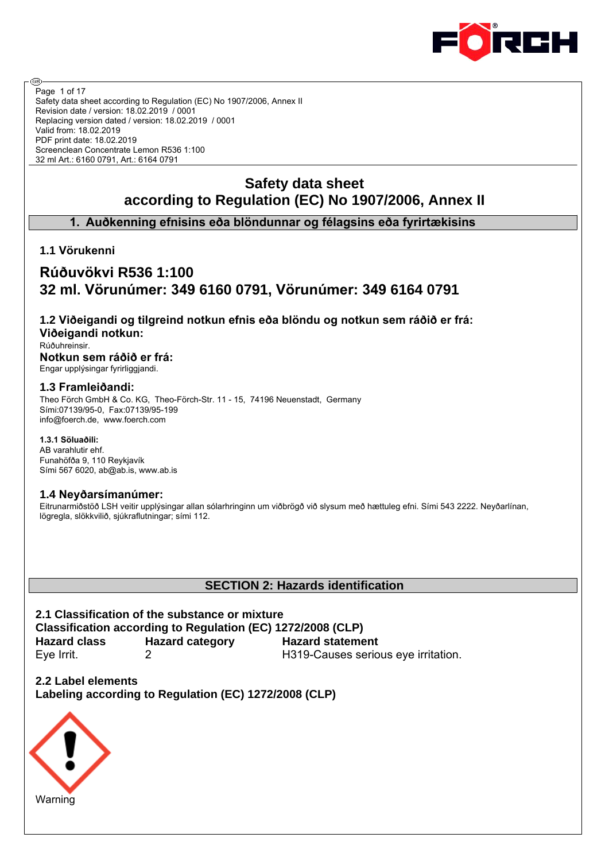

Safety data sheet according to Regulation (EC) No 1907/2006, Annex II Revision date / version: 18.02.2019 / 0001 Replacing version dated / version: 18.02.2019 / 0001 Valid from: 18.02.2019 PDF print date: 18.02.2019 Screenclean Concentrate Lemon R536 1:100 32 ml Art.: 6160 0791, Art.: 6164 0791 Page 1 of 17

# **Safety data sheet according to Regulation (EC) No 1907/2006, Annex II**

**1. Auðkenning efnisins eða blöndunnar og félagsins eða fyrirtækisins**

**1.1 Vörukenni**

@

# **Rúðuvökvi R536 1:100 32 ml. Vörunúmer: 349 6160 0791, Vörunúmer: 349 6164 0791**

**1.2 Viðeigandi og tilgreind notkun efnis eða blöndu og notkun sem ráðið er frá: Viðeigandi notkun:**

Rúðuhreinsir.

**Notkun sem ráðið er frá:** Engar upplýsingar fyrirliggjandi.

## **1.3 Framleiðandi:**

Theo Förch GmbH & Co. KG, Theo-Förch-Str. 11 - 15, 74196 Neuenstadt, Germany Sími:07139/95-0, Fax:07139/95-199 info@foerch.de, www.foerch.com

#### **1.3.1 Söluaðili:**

AB varahlutir ehf. Funahöfða 9, 110 Reykjavík Sími 567 6020, ab@ab.is, www.ab.is

## **1.4 Neyðarsímanúmer:**

Eitrunarmiðstöð LSH veitir upplýsingar allan sólarhringinn um viðbrögð við slysum með hættuleg efni. Sími 543 2222. Neyðarlínan, lögregla, slökkvilið, sjúkraflutningar; sími 112.

# **SECTION 2: Hazards identification**

**2.1 Classification of the substance or mixture Classification according to Regulation (EC) 1272/2008 (CLP) Hazard class Hazard category Hazard statement** Eye Irrit. 2 H319-Causes serious eye irritation.

**2.2 Label elements Labeling according to Regulation (EC) 1272/2008 (CLP)**

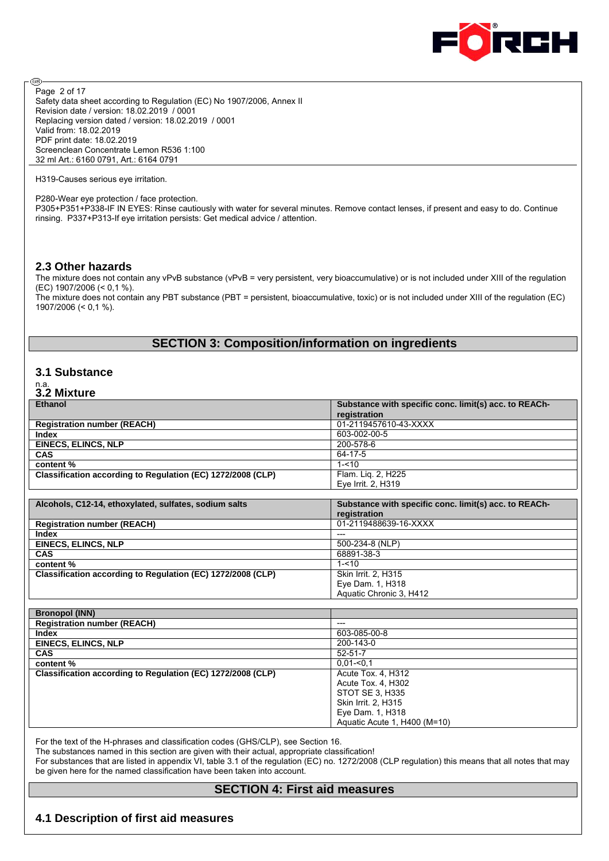

Safety data sheet according to Regulation (EC) No 1907/2006, Annex II Revision date / version: 18.02.2019 / 0001 Replacing version dated / version: 18.02.2019 / 0001 Valid from: 18.02.2019 PDF print date: 18.02.2019 Screenclean Concentrate Lemon R536 1:100 32 ml Art.: 6160 0791, Art.: 6164 0791 Page 2 of 17

H319-Causes serious eye irritation.

ම

P280-Wear eye protection / face protection.

P305+P351+P338-IF IN EYES: Rinse cautiously with water for several minutes. Remove contact lenses, if present and easy to do. Continue rinsing. P337+P313-If eye irritation persists: Get medical advice / attention.

#### **2.3 Other hazards**

The mixture does not contain any vPvB substance (vPvB = very persistent, very bioaccumulative) or is not included under XIII of the regulation (EC) 1907/2006 (< 0,1 %).

The mixture does not contain any PBT substance (PBT = persistent, bioaccumulative, toxic) or is not included under XIII of the regulation (EC) 1907/2006 (< 0,1 %).

## **SECTION 3: Composition/information on ingredients**

### **3.1 Substance**

# n.a. **3.2 Mixture**

| <b>Ethanol</b>                                              | Substance with specific conc. limit(s) acc. to REACh- |
|-------------------------------------------------------------|-------------------------------------------------------|
|                                                             | registration                                          |
| <b>Registration number (REACH)</b>                          | 01-2119457610-43-XXXX                                 |
| Index                                                       | 603-002-00-5                                          |
| <b>EINECS, ELINCS, NLP</b>                                  | 200-578-6                                             |
| <b>CAS</b>                                                  | 64-17-5                                               |
| content %                                                   | $1 - 10$                                              |
| Classification according to Regulation (EC) 1272/2008 (CLP) | Flam. Lig. 2, H225                                    |
|                                                             | Eye Irrit. 2, H319                                    |
|                                                             |                                                       |
|                                                             |                                                       |
| Alcohols, C12-14, ethoxylated, sulfates, sodium salts       | Substance with specific conc. limit(s) acc. to REACh- |
|                                                             | registration                                          |
| <b>Registration number (REACH)</b>                          | 01-2119488639-16-XXXX                                 |
| <b>Index</b>                                                | $---$                                                 |
| <b>EINECS, ELINCS, NLP</b>                                  | 500-234-8 (NLP)                                       |
| <b>CAS</b>                                                  | 68891-38-3                                            |
| content %                                                   | $1 - 10$                                              |
| Classification according to Regulation (EC) 1272/2008 (CLP) | Skin Irrit. 2, H315                                   |
|                                                             | Eye Dam. 1, H318                                      |

| ---                          |
|------------------------------|
| 603-085-00-8                 |
| 200-143-0                    |
| $52 - 51 - 7$                |
| $0.01 - 0.1$                 |
| Acute Tox. 4, H312           |
| Acute Tox. 4, H302           |
| STOT SE 3, H335              |
| Skin Irrit. 2, H315          |
| Eye Dam. 1, H318             |
| Aquatic Acute 1, H400 (M=10) |
|                              |

For the text of the H-phrases and classification codes (GHS/CLP), see Section 16.

The substances named in this section are given with their actual, appropriate classification!

For substances that are listed in appendix VI, table 3.1 of the regulation (EC) no. 1272/2008 (CLP regulation) this means that all notes that may be given here for the named classification have been taken into account.

#### **SECTION 4: First aid measures**

#### **4.1 Description of first aid measures**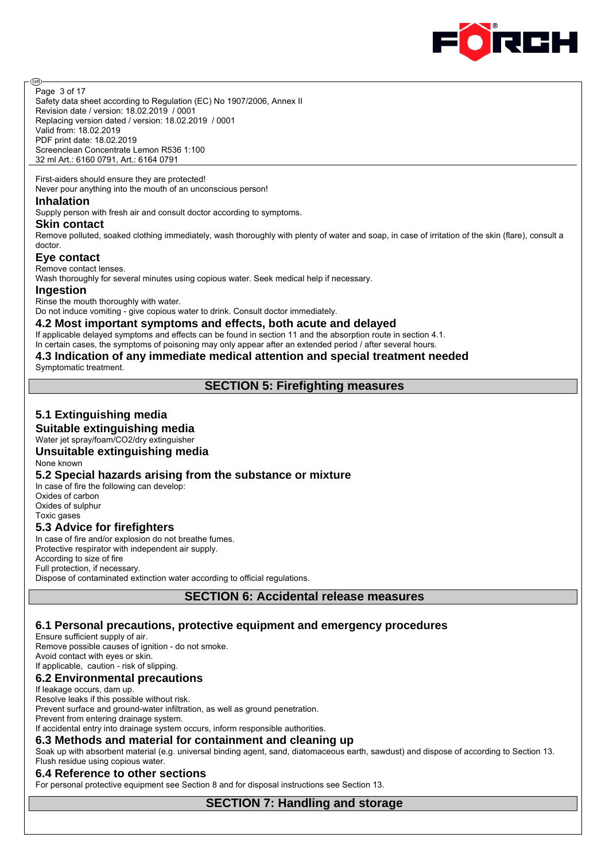

Page 3 of 17

@

Safety data sheet according to Regulation (EC) No 1907/2006, Annex II Revision date / version: 18.02.2019 / 0001 Replacing version dated / version: 18.02.2019 / 0001 Valid from: 18.02.2019 PDF print date: 18.02.2019 Screenclean Concentrate Lemon R536 1:100 32 ml Art.: 6160 0791, Art.: 6164 0791

First-aiders should ensure they are protected! Never pour anything into the mouth of an unconscious person!

#### **Inhalation**

Supply person with fresh air and consult doctor according to symptoms.

#### **Skin contact**

Remove polluted, soaked clothing immediately, wash thoroughly with plenty of water and soap, in case of irritation of the skin (flare), consult a doctor.

#### **Eye contact**

Remove contact lenses.

Wash thoroughly for several minutes using copious water. Seek medical help if necessary.

#### **Ingestion**

Rinse the mouth thoroughly with water.

Do not induce vomiting - give copious water to drink. Consult doctor immediately.

#### **4.2 Most important symptoms and effects, both acute and delayed**

If applicable delayed symptoms and effects can be found in section 11 and the absorption route in section 4.1.

In certain cases, the symptoms of poisoning may only appear after an extended period / after several hours.

# **4.3 Indication of any immediate medical attention and special treatment needed**

Symptomatic treatment.

#### **SECTION 5: Firefighting measures**

# **5.1 Extinguishing media**

#### **Suitable extinguishing media**

Water jet spray/foam/CO2/dry extinguisher

## **Unsuitable extinguishing media**

None known

#### **5.2 Special hazards arising from the substance or mixture**

In case of fire the following can develop: Oxides of carbon Oxides of sulphur Toxic gases

#### **5.3 Advice for firefighters**

In case of fire and/or explosion do not breathe fumes. Protective respirator with independent air supply. According to size of fire Full protection, if necessary. Dispose of contaminated extinction water according to official regulations.

**SECTION 6: Accidental release measures**

#### **6.1 Personal precautions, protective equipment and emergency procedures**

Ensure sufficient supply of air.

Remove possible causes of ignition - do not smoke.

Avoid contact with eyes or skin. If applicable, caution - risk of slipping.

# **6.2 Environmental precautions**

## If leakage occurs, dam up.

Resolve leaks if this possible without risk.

Prevent surface and ground-water infiltration, as well as ground penetration.

Prevent from entering drainage system.

If accidental entry into drainage system occurs, inform responsible authorities.

#### **6.3 Methods and material for containment and cleaning up**

Soak up with absorbent material (e.g. universal binding agent, sand, diatomaceous earth, sawdust) and dispose of according to Section 13. Flush residue using copious water.

#### **6.4 Reference to other sections**

For personal protective equipment see Section 8 and for disposal instructions see Section 13.

**SECTION 7: Handling and storage**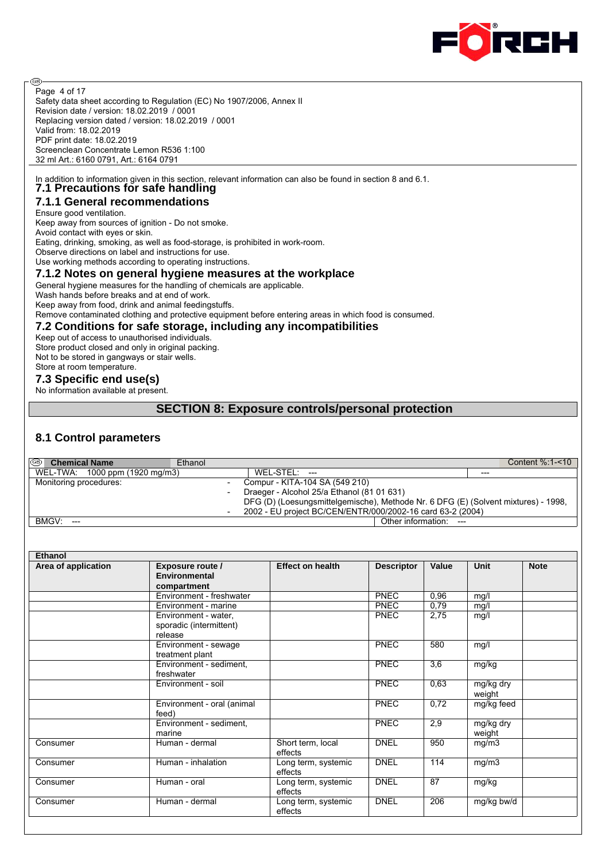

Safety data sheet according to Regulation (EC) No 1907/2006, Annex II Revision date / version: 18.02.2019 / 0001 Replacing version dated / version: 18.02.2019 / 0001 Valid from: 18.02.2019 PDF print date: 18.02.2019 Screenclean Concentrate Lemon R536 1:100 32 ml Art.: 6160 0791, Art.: 6164 0791 Page 4 of 17

In addition to information given in this section, relevant information can also be found in section 8 and 6.1. **7.1 Precautions for safe handling**

# **7.1.1 General recommendations**

Ensure good ventilation.

⊛

Keep away from sources of ignition - Do not smoke. Avoid contact with eyes or skin. Eating, drinking, smoking, as well as food-storage, is prohibited in work-room. Observe directions on label and instructions for use. Use working methods according to operating instructions. **7.1.2 Notes on general hygiene measures at the workplace**

General hygiene measures for the handling of chemicals are applicable.

Wash hands before breaks and at end of work.

Keep away from food, drink and animal feedingstuffs.

Remove contaminated clothing and protective equipment before entering areas in which food is consumed.

# **7.2 Conditions for safe storage, including any incompatibilities**

Keep out of access to unauthorised individuals. Store product closed and only in original packing. Not to be stored in gangways or stair wells. Store at room temperature.

#### **7.3 Specific end use(s)**

No information available at present.

# **SECTION 8: Exposure controls/personal protection**

# **8.1 Control parameters**

| ®  <br><b>Chemical Name</b>    | Ethanol |                                                                                    | Content $%1 - 10$ |
|--------------------------------|---------|------------------------------------------------------------------------------------|-------------------|
| WEL-TWA: 1000 ppm (1920 mg/m3) |         | $WEL-STEL: ---$                                                                    | $---$             |
| Monitoring procedures:         |         | Compur - KITA-104 SA (549 210)                                                     |                   |
|                                |         | Draeger - Alcohol 25/a Ethanol (81 01 631)                                         |                   |
|                                |         | DFG (D) (Loesungsmittelgemische), Methode Nr. 6 DFG (E) (Solvent mixtures) - 1998, |                   |
|                                |         | 2002 - EU project BC/CEN/ENTR/000/2002-16 card 63-2 (2004)                         |                   |
| BMGV:<br>$---$                 |         | Other information: ---                                                             |                   |

| <b>Ethanol</b>           |                                                            |                                |                   |       |                     |             |
|--------------------------|------------------------------------------------------------|--------------------------------|-------------------|-------|---------------------|-------------|
| Area of application      | Exposure route /<br>Environmental<br>compartment           | <b>Effect on health</b>        | <b>Descriptor</b> | Value | <b>Unit</b>         | <b>Note</b> |
|                          | Environment - freshwater                                   |                                | <b>PNEC</b>       | 0,96  | mg/l                |             |
|                          | Environment - marine                                       |                                | <b>PNEC</b>       | 0.79  | mg/l                |             |
|                          | Environment - water,<br>sporadic (intermittent)<br>release |                                | <b>PNEC</b>       | 2,75  | mg/l                |             |
|                          | Environment - sewage<br>treatment plant                    |                                | <b>PNEC</b>       | 580   | mg/l                |             |
|                          | Environment - sediment,<br>freshwater                      |                                | <b>PNEC</b>       | 3,6   | mg/kg               |             |
|                          | Environment - soil                                         |                                | <b>PNEC</b>       | 0,63  | mg/kg dry<br>weight |             |
|                          | Environment - oral (animal<br>feed)                        |                                | <b>PNEC</b>       | 0,72  | mg/kg feed          |             |
|                          | Environment - sediment,<br>marine                          |                                | <b>PNEC</b>       | 2,9   | mg/kg dry<br>weight |             |
| Consumer                 | Human - dermal                                             | Short term, local<br>effects   | <b>DNEL</b>       | 950   | mg/m3               |             |
| Consumer                 | Human - inhalation                                         | Long term, systemic<br>effects | <b>DNEL</b>       | 114   | mg/m3               |             |
| Human - oral<br>Consumer |                                                            | Long term, systemic<br>effects | <b>DNEL</b>       | 87    | mg/kg               |             |
| Consumer                 | Human - dermal                                             | Long term, systemic<br>effects | <b>DNEL</b>       | 206   | mg/kg bw/d          |             |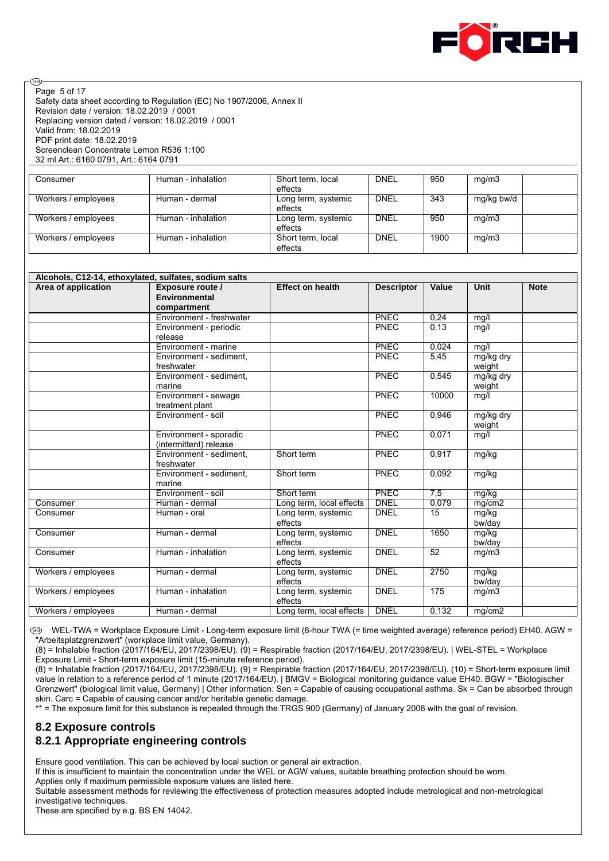

Safety data sheet according to Regulation (EC) No 1907/2006, Annex II Revision date / version: 18.02.2019 / 0001 Replacing version dated / version: 18.02.2019 / 0001 Valid from: 18.02.2019 PDF print date: 18.02.2019 Screenclean Concentrate Lemon R536 1:100 32 ml Art.: 6160 0791, Art.: 6164 0791 Page 5 of 17

@

| Consumer            | Human - inhalation | Short term, local<br>effects   | <b>DNEL</b> | 950  | mg/m3      |  |
|---------------------|--------------------|--------------------------------|-------------|------|------------|--|
| Workers / employees | Human - dermal     | Long term, systemic<br>effects | <b>DNEL</b> | 343  | mg/kg bw/d |  |
| Workers / employees | Human - inhalation | Long term, systemic<br>effects | <b>DNEL</b> | 950  | mg/m3      |  |
| Workers / employees | Human - inhalation | Short term, local<br>effects   | <b>DNEL</b> | 1900 | mg/m3      |  |

| Alcohols, C12-14, ethoxylated, sulfates, sodium salts |                          |                          |                   |                 |           |             |  |  |
|-------------------------------------------------------|--------------------------|--------------------------|-------------------|-----------------|-----------|-------------|--|--|
| Area of application                                   | Exposure route /         | <b>Effect on health</b>  | <b>Descriptor</b> | Value           | Unit      | <b>Note</b> |  |  |
|                                                       | <b>Environmental</b>     |                          |                   |                 |           |             |  |  |
|                                                       | compartment              |                          |                   |                 |           |             |  |  |
|                                                       | Environment - freshwater |                          | <b>PNEC</b>       | 0.24            | mq/l      |             |  |  |
|                                                       | Environment - periodic   |                          | PNEC              | 0.13            | mq/l      |             |  |  |
|                                                       | release                  |                          |                   |                 |           |             |  |  |
|                                                       | Environment - marine     |                          | <b>PNEC</b>       | 0.024           | mg/l      |             |  |  |
|                                                       | Environment - sediment.  |                          | PNEC              | 5,45            | mg/kg dry |             |  |  |
|                                                       | freshwater               |                          |                   |                 | weight    |             |  |  |
|                                                       | Environment - sediment,  |                          | PNEC              | 0,545           | mg/kg dry |             |  |  |
|                                                       | marine                   |                          |                   |                 | weight    |             |  |  |
|                                                       | Environment - sewage     |                          | PNEC              | 10000           | mq/l      |             |  |  |
|                                                       | treatment plant          |                          |                   |                 |           |             |  |  |
|                                                       | Environment - soil       |                          | <b>PNEC</b>       | 0.946           | mg/kg dry |             |  |  |
|                                                       |                          |                          |                   |                 | weight    |             |  |  |
|                                                       | Environment - sporadic   |                          | <b>PNEC</b>       | 0,071           | mg/l      |             |  |  |
|                                                       | (intermittent) release   |                          |                   |                 |           |             |  |  |
|                                                       | Environment - sediment,  | Short term               | PNEC              | 0,917           | mg/kg     |             |  |  |
|                                                       | freshwater               |                          |                   |                 |           |             |  |  |
|                                                       | Environment - sediment,  | Short term               | PNEC              | 0,092           | mg/kg     |             |  |  |
|                                                       | marine                   |                          |                   |                 |           |             |  |  |
|                                                       | Environment - soil       | Short term               | <b>PNEC</b>       | 7,5             | mg/kg     |             |  |  |
| Consumer                                              | Human - dermal           | Long term, local effects | <b>DNEL</b>       | 0,079           | mg/cm2    |             |  |  |
| Consumer                                              | Human - oral             | Long term, systemic      | <b>DNEL</b>       | 15              | mg/kg     |             |  |  |
|                                                       |                          | effects                  |                   |                 | bw/day    |             |  |  |
| Consumer                                              | Human - dermal           | Long term, systemic      | <b>DNEL</b>       | 1650            | mg/kg     |             |  |  |
|                                                       |                          | effects                  |                   |                 | bw/day    |             |  |  |
| Consumer                                              | Human - inhalation       | Long term, systemic      | <b>DNEL</b>       | $\overline{52}$ | mg/m3     |             |  |  |
|                                                       |                          | effects                  |                   |                 |           |             |  |  |
| Workers / employees                                   | Human - dermal           | Long term, systemic      | <b>DNEL</b>       | 2750            | mg/kg     |             |  |  |
|                                                       |                          | effects                  |                   |                 | bw/day    |             |  |  |
| Workers / employees                                   | Human - inhalation       | Long term, systemic      | <b>DNEL</b>       | 175             | mg/m3     |             |  |  |
|                                                       |                          | effects                  |                   |                 |           |             |  |  |
| Workers / employees                                   | Human - dermal           | Long term, local effects | <b>DNEL</b>       | 0,132           | mg/cm2    |             |  |  |
|                                                       |                          |                          |                   |                 |           |             |  |  |

 WEL-TWA = Workplace Exposure Limit - Long-term exposure limit (8-hour TWA (= time weighted average) reference period) EH40. AGW = "Arbeitsplatzgrenzwert" (workplace limit value, Germany).

(8) = Inhalable fraction (2017/164/EU, 2017/2398/EU). (9) = Respirable fraction (2017/164/EU, 2017/2398/EU). | WEL-STEL = Workplace Exposure Limit - Short-term exposure limit (15-minute reference period).

(8) = Inhalable fraction (2017/164/EU, 2017/2398/EU). (9) = Respirable fraction (2017/164/EU, 2017/2398/EU). (10) = Short-term exposure limit value in relation to a reference period of 1 minute (2017/164/EU). | BMGV = Biological monitoring guidance value EH40. BGW = "Biologischer Grenzwert" (biological limit value, Germany) | Other information: Sen = Capable of causing occupational asthma. Sk = Can be absorbed through skin. Carc = Capable of causing cancer and/or heritable genetic damage.

\*\* = The exposure limit for this substance is repealed through the TRGS 900 (Germany) of January 2006 with the goal of revision.

### **8.2 Exposure controls 8.2.1 Appropriate engineering controls**

Ensure good ventilation. This can be achieved by local suction or general air extraction.

If this is insufficient to maintain the concentration under the WEL or AGW values, suitable breathing protection should be worn.

Applies only if maximum permissible exposure values are listed here.

Suitable assessment methods for reviewing the effectiveness of protection measures adopted include metrological and non-metrological investigative techniques.

These are specified by e.g. BS EN 14042.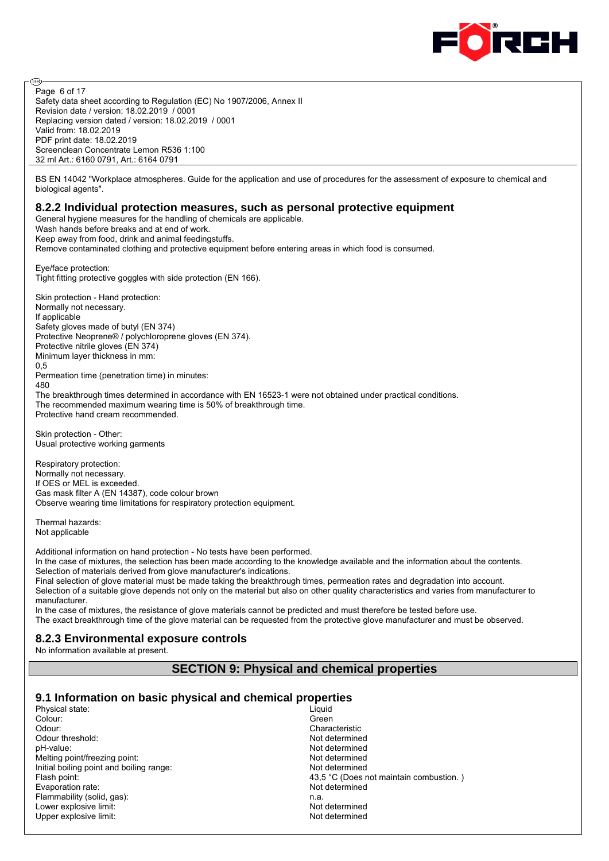

Safety data sheet according to Regulation (EC) No 1907/2006, Annex II Revision date / version: 18.02.2019 / 0001 Replacing version dated / version: 18.02.2019 / 0001 Valid from: 18.02.2019 PDF print date: 18.02.2019 Screenclean Concentrate Lemon R536 1:100 32 ml Art.: 6160 0791, Art.: 6164 0791 Page 6 of 17

BS EN 14042 "Workplace atmospheres. Guide for the application and use of procedures for the assessment of exposure to chemical and biological agents".

#### **8.2.2 Individual protection measures, such as personal protective equipment**

General hygiene measures for the handling of chemicals are applicable. Wash hands before breaks and at end of work. Keep away from food, drink and animal feedingstuffs. Remove contaminated clothing and protective equipment before entering areas in which food is consumed.

Eye/face protection: Tight fitting protective goggles with side protection (EN 166).

Skin protection - Hand protection: Normally not necessary. If applicable Safety gloves made of butyl (EN 374) Protective Neoprene® / polychloroprene gloves (EN 374). Protective nitrile gloves (EN 374) Minimum layer thickness in mm:  $0.5$ Permeation time (penetration time) in minutes: 480 The breakthrough times determined in accordance with EN 16523-1 were not obtained under practical conditions. The recommended maximum wearing time is 50% of breakthrough time.

Protective hand cream recommended.

Skin protection - Other: Usual protective working garments

Respiratory protection: Normally not necessary. If OES or MEL is exceeded. Gas mask filter A (EN 14387), code colour brown Observe wearing time limitations for respiratory protection equipment.

Thermal hazards: Not applicable

@

Additional information on hand protection - No tests have been performed.

In the case of mixtures, the selection has been made according to the knowledge available and the information about the contents. Selection of materials derived from glove manufacturer's indications.

Final selection of glove material must be made taking the breakthrough times, permeation rates and degradation into account. Selection of a suitable glove depends not only on the material but also on other quality characteristics and varies from manufacturer to manufacturer.

In the case of mixtures, the resistance of glove materials cannot be predicted and must therefore be tested before use. The exact breakthrough time of the glove material can be requested from the protective glove manufacturer and must be observed.

#### **8.2.3 Environmental exposure controls**

No information available at present.

# **SECTION 9: Physical and chemical properties**

#### **9.1 Information on basic physical and chemical properties**

| Physical state:                          | Liguid                                  |
|------------------------------------------|-----------------------------------------|
| Colour:                                  | Green                                   |
| Odour:                                   | Characteristic                          |
| Odour threshold:                         | Not determined                          |
| pH-value:                                | Not determined                          |
| Melting point/freezing point:            | Not determined                          |
| Initial boiling point and boiling range: | Not determined                          |
| Flash point:                             | 43.5 °C (Does not maintain combustion.) |
| Evaporation rate:                        | Not determined                          |
| Flammability (solid, gas):               | n.a.                                    |
| Lower explosive limit:                   | Not determined                          |
| Upper explosive limit:                   | Not determined                          |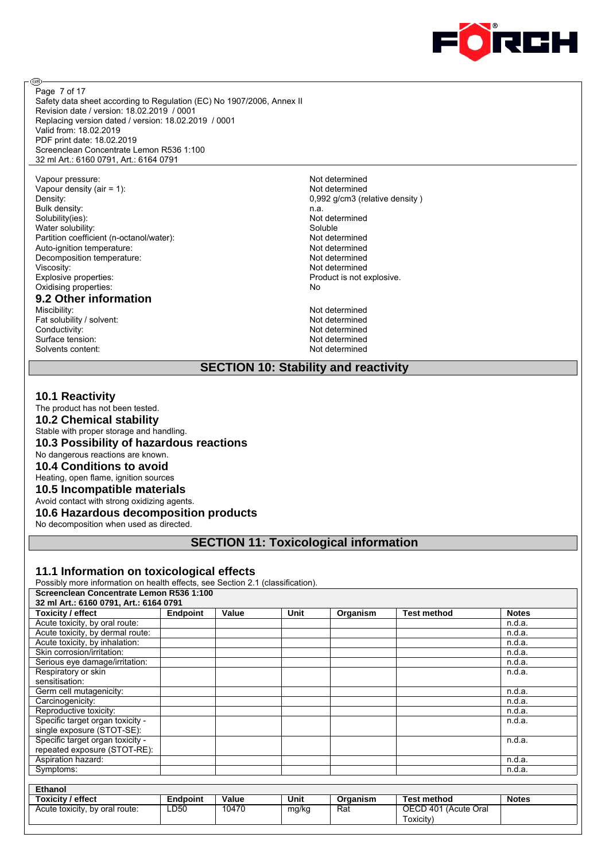

Safety data sheet according to Regulation (EC) No 1907/2006, Annex II Revision date / version: 18.02.2019 / 0001 Replacing version dated / version: 18.02.2019 / 0001 Valid from: 18.02.2019 PDF print date: 18.02.2019 Screenclean Concentrate Lemon R536 1:100 32 ml Art.: 6160 0791, Art.: 6164 0791 Page 7 of 17

Vapour pressure: Not determined Vapour density (air = 1):<br>
Density: 0.992 a/cm3 (re Bulk density: n.a.<br>Solubility(ies): n.a. Not Water solubility: Soluble Partition coefficient (n-octanol/water):<br>
Auto-ignition temperature: Not determined<br>
Not determined Auto-ignition temperature: Decomposition temperature:<br>
Viscosity:<br>
Not determined<br>
Not determined Viscosity: Not determined<br>
Explosive properties: Not determined<br>
Product is not explosive properties: Oxidising properties:

# **9.2 Other information**

Fat solubility / solvent:<br>Conductivity: Surface tension: Solvents content: Not determined

ම

0,992 g/cm3 (relative density) Not determined Product is not explosive.<br>No

Not determined<br>Not determined Not determined<br>Not determined

#### **SECTION 10: Stability and reactivity**

#### **10.1 Reactivity**

The product has not been tested.

**10.2 Chemical stability**

Stable with proper storage and handling.

**10.3 Possibility of hazardous reactions**

No dangerous reactions are known.

**10.4 Conditions to avoid**

Heating, open flame, ignition sources

**10.5 Incompatible materials**

Avoid contact with strong oxidizing agents.

# **10.6 Hazardous decomposition products**

No decomposition when used as directed.

# **SECTION 11: Toxicological information**

#### **11.1 Information on toxicological effects**

Possibly more information on health effects, see Section 2.1 (classification). **Screenclean Concentrate Lemon R536 1:100** 

| OCIGGIICIGAII CONCGNUALG LGINON INJJU 1.100 |                 |                                      |      |          |                    |              |  |  |
|---------------------------------------------|-----------------|--------------------------------------|------|----------|--------------------|--------------|--|--|
| 32 ml Art.: 6160 0791, Art.: 6164 0791      |                 |                                      |      |          |                    |              |  |  |
| Toxicity / effect                           | <b>Endpoint</b> | Value                                | Unit | Organism | <b>Test method</b> | <b>Notes</b> |  |  |
| Acute toxicity, by oral route:              |                 |                                      |      |          |                    | n.d.a.       |  |  |
| Acute toxicity, by dermal route:            |                 |                                      |      |          |                    | n.d.a.       |  |  |
| Acute toxicity, by inhalation:              |                 |                                      |      |          |                    | n.d.a.       |  |  |
| Skin corrosion/irritation:                  |                 |                                      |      |          |                    | n.d.a.       |  |  |
| Serious eye damage/irritation:              |                 |                                      |      |          |                    | n.d.a.       |  |  |
| Respiratory or skin                         |                 |                                      |      |          |                    | n.d.a.       |  |  |
| sensitisation:                              |                 |                                      |      |          |                    |              |  |  |
| Germ cell mutagenicity:                     |                 |                                      |      |          |                    | n.d.a.       |  |  |
| Carcinogenicity:                            |                 |                                      |      |          |                    | n.d.a.       |  |  |
| Reproductive toxicity:                      |                 |                                      |      |          |                    | n.d.a.       |  |  |
| Specific target organ toxicity -            |                 |                                      |      |          |                    | n.d.a.       |  |  |
| single exposure (STOT-SE):                  |                 |                                      |      |          |                    |              |  |  |
| Specific target organ toxicity -            |                 |                                      |      |          |                    | n.d.a.       |  |  |
| repeated exposure (STOT-RE):                |                 |                                      |      |          |                    |              |  |  |
| Aspiration hazard:                          |                 |                                      |      |          |                    | n.d.a.       |  |  |
| Symptoms:                                   |                 |                                      |      |          |                    | n.d.a.       |  |  |
|                                             |                 |                                      |      |          |                    |              |  |  |
| <b>Ethanol</b>                              |                 |                                      |      |          |                    |              |  |  |
| Toxicity / effect                           | <b>Endpoint</b> | Value                                | Unit | Organism | <b>Test method</b> | <b>Notes</b> |  |  |
|                                             | $\cdot$ $  -$   | $\cdot$ $\sim$ $\cdot$ $\sim$ $\sim$ |      |          | $\cdots$           |              |  |  |

| <b>Toxicity / effect</b>       | Endpoint    | Value | Unit  | Organism | <b>Test method</b>   | <b>Notes</b> |
|--------------------------------|-------------|-------|-------|----------|----------------------|--------------|
| Acute toxicity, by oral route: | <b>LD50</b> | 10470 | mg/kg | Rat      | OECD 401 (Acute Oral |              |
|                                |             |       |       |          | ⊺oxicitv`            |              |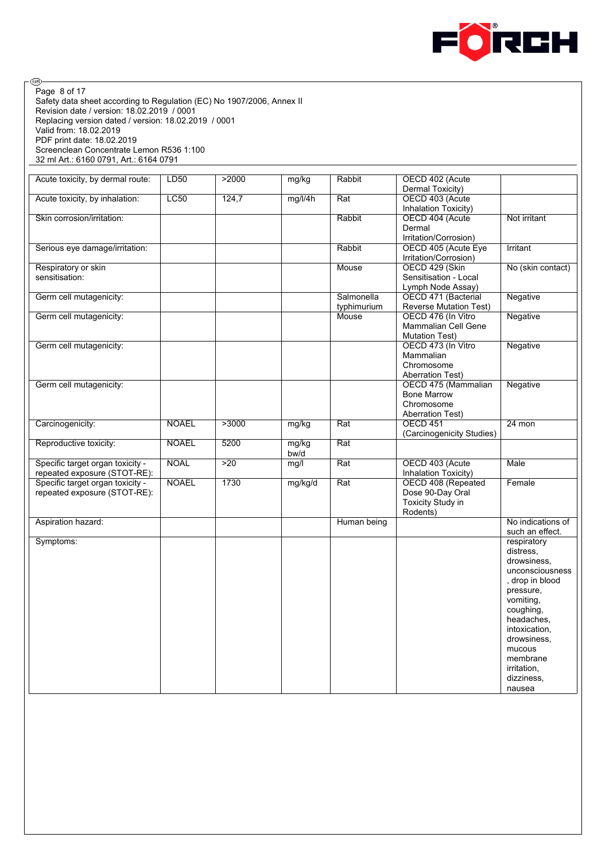

⊛ Page 8 of 17Safety data sheet according to Regulation (EC) No 1907/2006, Annex II Revision date / version: 18.02.2019 / 0001 Replacing version dated / version: 18.02.2019 / 0001 Valid from: 18.02.2019 PDF print date: 18.02.2019 Screenclean Concentrate Lemon R536 1:100 32 ml Art.: 6160 0791, Art.: 6164 0791

| Acute toxicity, by dermal route: | LD50         | >2000 | mg/kg   | Rabbit                  | OECD 402 (Acute<br>Dermal Toxicity)     |                   |
|----------------------------------|--------------|-------|---------|-------------------------|-----------------------------------------|-------------------|
|                                  |              |       |         |                         |                                         |                   |
| Acute toxicity, by inhalation:   | <b>LC50</b>  | 124,7 | mg/l/4h | Rat                     | OECD 403 (Acute<br>Inhalation Toxicity) |                   |
|                                  |              |       |         |                         |                                         |                   |
| Skin corrosion/irritation:       |              |       |         | Rabbit                  | OECD 404 (Acute                         | Not irritant      |
|                                  |              |       |         |                         | Dermal                                  |                   |
|                                  |              |       |         |                         | Irritation/Corrosion)                   |                   |
| Serious eye damage/irritation:   |              |       |         | Rabbit                  | OECD 405 (Acute Eye                     | <b>Irritant</b>   |
|                                  |              |       |         |                         | Irritation/Corrosion)                   |                   |
| Respiratory or skin              |              |       |         | Mouse                   | OECD 429 (Skin                          | No (skin contact) |
| sensitisation:                   |              |       |         |                         | Sensitisation - Local                   |                   |
|                                  |              |       |         |                         | Lymph Node Assay)                       |                   |
| Germ cell mutagenicity:          |              |       |         | Salmonella              | OECD 471 (Bacterial                     | Negative          |
|                                  |              |       |         |                         |                                         |                   |
|                                  |              |       |         | typhimurium             | <b>Reverse Mutation Test)</b>           |                   |
| Germ cell mutagenicity:          |              |       |         | Mouse                   | OECD 476 (In Vitro                      | Negative          |
|                                  |              |       |         |                         | Mammalian Cell Gene                     |                   |
|                                  |              |       |         |                         | <b>Mutation Test)</b>                   |                   |
| Germ cell mutagenicity:          |              |       |         |                         | OECD 473 (In Vitro                      | Negative          |
|                                  |              |       |         |                         | Mammalian                               |                   |
|                                  |              |       |         |                         | Chromosome                              |                   |
|                                  |              |       |         |                         | <b>Aberration Test)</b>                 |                   |
| Germ cell mutagenicity:          |              |       |         |                         | OECD 475 (Mammalian                     | Negative          |
|                                  |              |       |         |                         | <b>Bone Marrow</b>                      |                   |
|                                  |              |       |         |                         | Chromosome                              |                   |
|                                  |              |       |         |                         | <b>Aberration Test)</b>                 |                   |
|                                  |              |       |         |                         |                                         |                   |
| Carcinogenicity:                 | <b>NOAEL</b> | >3000 | mg/kg   | Rat                     | <b>OECD 451</b>                         | 24 mon            |
|                                  |              |       |         |                         | (Carcinogenicity Studies)               |                   |
| Reproductive toxicity:           | <b>NOAEL</b> | 5200  | mg/kg   | Rat                     |                                         |                   |
|                                  |              |       | bw/d    |                         |                                         |                   |
| Specific target organ toxicity - | <b>NOAL</b>  | >20   | mg/l    | Rat                     | OECD 403 (Acute                         | <b>Male</b>       |
| repeated exposure (STOT-RE):     |              |       |         |                         | Inhalation Toxicity)                    |                   |
| Specific target organ toxicity - | <b>NOAEL</b> | 1730  | mg/kg/d | $\overline{\text{Rat}}$ | OECD 408 (Repeated                      | Female            |
| repeated exposure (STOT-RE):     |              |       |         |                         | Dose 90-Day Oral                        |                   |
|                                  |              |       |         |                         | Toxicity Study in                       |                   |
|                                  |              |       |         |                         | Rodents)                                |                   |
| Aspiration hazard:               |              |       |         | Human being             |                                         | No indications of |
|                                  |              |       |         |                         |                                         | such an effect.   |
| Symptoms:                        |              |       |         |                         |                                         | respiratory       |
|                                  |              |       |         |                         |                                         | distress.         |
|                                  |              |       |         |                         |                                         | drowsiness.       |
|                                  |              |       |         |                         |                                         | unconsciousness   |
|                                  |              |       |         |                         |                                         | , drop in blood   |
|                                  |              |       |         |                         |                                         |                   |
|                                  |              |       |         |                         |                                         | pressure,         |
|                                  |              |       |         |                         |                                         | vomiting.         |
|                                  |              |       |         |                         |                                         | coughing,         |
|                                  |              |       |         |                         |                                         | headaches,        |
|                                  |              |       |         |                         |                                         | intoxication.     |
|                                  |              |       |         |                         |                                         | drowsiness.       |
|                                  |              |       |         |                         |                                         | mucous            |
|                                  |              |       |         |                         |                                         | membrane          |
|                                  |              |       |         |                         |                                         | irritation.       |
|                                  |              |       |         |                         |                                         | dizziness.        |
|                                  |              |       |         |                         |                                         | nausea            |
|                                  |              |       |         |                         |                                         |                   |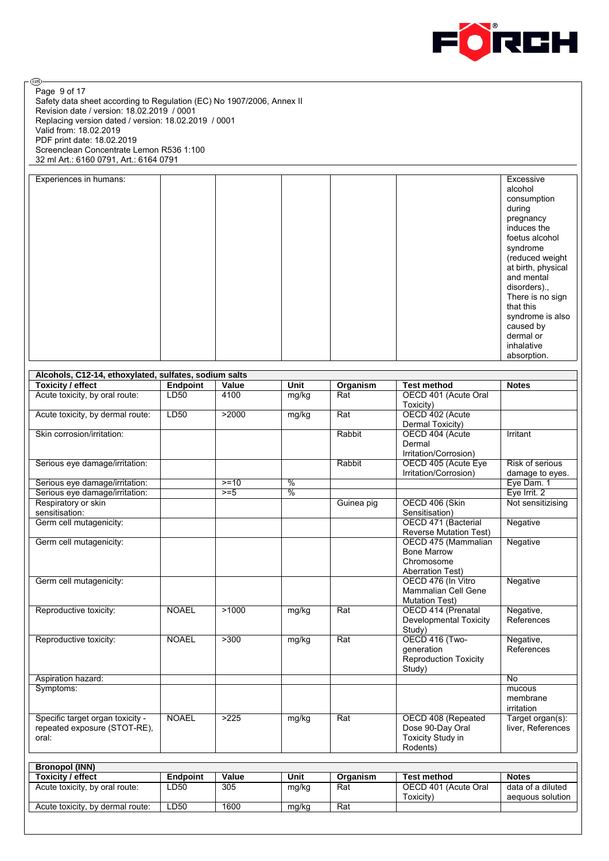

⊛ Page 9 of 17Safety data sheet according to Regulation (EC) No 1907/2006, Annex II Revision date / version: 18.02.2019 / 0001 Replacing version dated / version: 18.02.2019 / 0001 Valid from: 18.02.2019 PDF print date: 18.02.2019 Screenclean Concentrate Lemon R536 1:100 32 ml Art.: 6160 0791, Art.: 6164 0791

| Experiences in humans: |  |  | Excessive          |
|------------------------|--|--|--------------------|
|                        |  |  | alcohol            |
|                        |  |  |                    |
|                        |  |  | consumption        |
|                        |  |  | during             |
|                        |  |  | pregnancy          |
|                        |  |  | induces the        |
|                        |  |  |                    |
|                        |  |  | foetus alcohol     |
|                        |  |  | syndrome           |
|                        |  |  |                    |
|                        |  |  | (reduced weight    |
|                        |  |  | at birth, physical |
|                        |  |  | and mental         |
|                        |  |  | disorders).,       |
|                        |  |  | There is no sign   |
|                        |  |  | that this          |
|                        |  |  | syndrome is also   |
|                        |  |  | caused by          |
|                        |  |  | dermal or          |
|                        |  |  |                    |
|                        |  |  | inhalative         |
|                        |  |  | absorption.        |

| Alcohols, C12-14, ethoxylated, sulfates, sodium salts            |                 |        |                          |            |                                                  |                                       |  |  |
|------------------------------------------------------------------|-----------------|--------|--------------------------|------------|--------------------------------------------------|---------------------------------------|--|--|
| <b>Toxicity / effect</b>                                         | <b>Endpoint</b> | Value  | <b>Unit</b>              | Organism   | <b>Test method</b>                               | <b>Notes</b>                          |  |  |
| Acute toxicity, by oral route:                                   | LD50            | 4100   | mg/kg                    | Rat        | OECD 401 (Acute Oral<br>Toxicity)                |                                       |  |  |
| Acute toxicity, by dermal route:                                 | LD50            | >2000  | mg/kg                    | Rat        | OECD 402 (Acute                                  |                                       |  |  |
|                                                                  |                 |        |                          |            | Dermal Toxicity)                                 |                                       |  |  |
| Skin corrosion/irritation:                                       |                 |        |                          | Rabbit     | OECD 404 (Acute                                  | Irritant                              |  |  |
|                                                                  |                 |        |                          |            | Dermal                                           |                                       |  |  |
|                                                                  |                 |        |                          |            | Irritation/Corrosion)                            |                                       |  |  |
| Serious eye damage/irritation:                                   |                 |        |                          | Rabbit     | OECD 405 (Acute Eye                              | Risk of serious                       |  |  |
|                                                                  |                 |        |                          |            | Irritation/Corrosion)                            | damage to eyes.                       |  |  |
| Serious eye damage/irritation:                                   |                 | $>=10$ | $\frac{0}{6}$            |            |                                                  | Eye Dam. 1                            |  |  |
| Serious eye damage/irritation:                                   |                 | $>= 5$ | $\overline{\frac{9}{6}}$ |            |                                                  | Eye Irrit. 2                          |  |  |
| Respiratory or skin                                              |                 |        |                          | Guinea pig | OECD 406 (Skin                                   | Not sensitizising                     |  |  |
| sensitisation:                                                   |                 |        |                          |            | Sensitisation)                                   |                                       |  |  |
| Germ cell mutagenicity:                                          |                 |        |                          |            | OECD 471 (Bacterial                              | Negative                              |  |  |
|                                                                  |                 |        |                          |            | <b>Reverse Mutation Test)</b>                    |                                       |  |  |
| Germ cell mutagenicity:                                          |                 |        |                          |            | OECD 475 (Mammalian                              | Negative                              |  |  |
|                                                                  |                 |        |                          |            | <b>Bone Marrow</b>                               |                                       |  |  |
|                                                                  |                 |        |                          |            | Chromosome                                       |                                       |  |  |
|                                                                  |                 |        |                          |            | <b>Aberration Test)</b>                          |                                       |  |  |
| Germ cell mutagenicity:                                          |                 |        |                          |            | OECD 476 (In Vitro<br><b>Mammalian Cell Gene</b> | Negative                              |  |  |
|                                                                  |                 |        |                          |            |                                                  |                                       |  |  |
| Reproductive toxicity:                                           | <b>NOAEL</b>    | >1000  | mg/kg                    | Rat        | <b>Mutation Test)</b><br>OECD 414 (Prenatal      | Negative,                             |  |  |
|                                                                  |                 |        |                          |            | <b>Developmental Toxicity</b>                    | References                            |  |  |
|                                                                  |                 |        |                          |            | Study)                                           |                                       |  |  |
| Reproductive toxicity:                                           | <b>NOAEL</b>    | >300   | mg/kg                    | Rat        | OECD 416 (Two-                                   | Negative,                             |  |  |
|                                                                  |                 |        |                          |            | <i>deneration</i>                                | References                            |  |  |
|                                                                  |                 |        |                          |            | Reproduction Toxicity                            |                                       |  |  |
|                                                                  |                 |        |                          |            | Study)                                           |                                       |  |  |
| Aspiration hazard:                                               |                 |        |                          |            |                                                  | <b>No</b>                             |  |  |
| Symptoms:                                                        |                 |        |                          |            |                                                  | mucous                                |  |  |
|                                                                  |                 |        |                          |            |                                                  | membrane                              |  |  |
|                                                                  | <b>NOAEL</b>    | >225   |                          |            |                                                  | irritation                            |  |  |
| Specific target organ toxicity -<br>repeated exposure (STOT-RE), |                 |        | mg/kg                    | Rat        | OECD 408 (Repeated<br>Dose 90-Day Oral           | Target organ(s):<br>liver, References |  |  |
| oral:                                                            |                 |        |                          |            | Toxicity Study in                                |                                       |  |  |
|                                                                  |                 |        |                          |            | Rodents)                                         |                                       |  |  |
|                                                                  |                 |        |                          |            |                                                  |                                       |  |  |
| <b>Bronopol (INN)</b>                                            |                 |        |                          |            |                                                  |                                       |  |  |
| <b>Toxicity / effect</b>                                         | <b>Endpoint</b> | Value  | <b>Unit</b>              | Organism   | <b>Test method</b>                               | <b>Notes</b>                          |  |  |
| Acute toxicity, by oral route:                                   | LD50            | 305    | mg/kg                    | Rat        | OECD 401 (Acute Oral<br>Toxicity)                | data of a diluted<br>aequous solution |  |  |
| Acute toxicity, by dermal route:                                 | LD50            | 1600   | mg/kg                    | Rat        |                                                  |                                       |  |  |
|                                                                  |                 |        |                          |            |                                                  |                                       |  |  |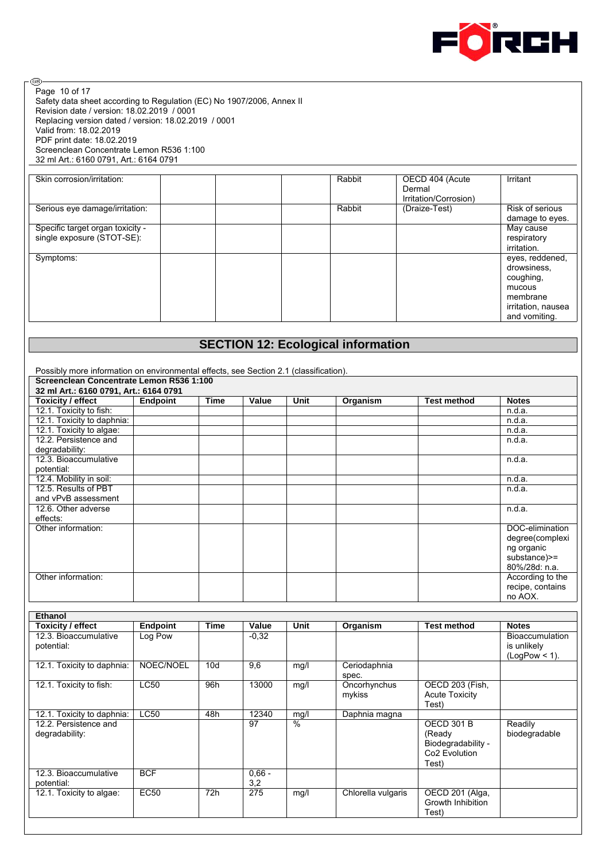

⊛ Page 10 of 17Safety data sheet according to Regulation (EC) No 1907/2006, Annex II Revision date / version: 18.02.2019 / 0001 Replacing version dated / version: 18.02.2019 / 0001 Valid from: 18.02.2019 PDF print date: 18.02.2019 Screenclean Concentrate Lemon R536 1:100 32 ml Art.: 6160 0791, Art.: 6164 0791

| Skin corrosion/irritation:                                     | Rabbit | OECD 404 (Acute<br>Dermal<br>Irritation/Corrosion) | Irritant                                                                                                 |
|----------------------------------------------------------------|--------|----------------------------------------------------|----------------------------------------------------------------------------------------------------------|
| Serious eye damage/irritation:                                 | Rabbit | (Draize-Test)                                      | Risk of serious<br>damage to eyes.                                                                       |
| Specific target organ toxicity -<br>single exposure (STOT-SE): |        |                                                    | May cause<br>respiratory<br>irritation.                                                                  |
| Symptoms:                                                      |        |                                                    | eyes, reddened,<br>drowsiness,<br>coughing,<br>mucous<br>membrane<br>irritation, nausea<br>and vomiting. |

# **SECTION 12: Ecological information**

| Possibly more information on environmental effects, see Section 2.1 (classification). |                 |      |       |      |          |             |                  |
|---------------------------------------------------------------------------------------|-----------------|------|-------|------|----------|-------------|------------------|
| Screenclean Concentrate Lemon R536 1:100                                              |                 |      |       |      |          |             |                  |
| 32 ml Art.: 6160 0791, Art.: 6164 0791                                                |                 |      |       |      |          |             |                  |
| <b>Toxicity / effect</b>                                                              | <b>Endpoint</b> | Time | Value | Unit | Organism | Test method | <b>Notes</b>     |
| 12.1. Toxicity to fish:                                                               |                 |      |       |      |          |             | n.d.a.           |
| 12.1. Toxicity to daphnia:                                                            |                 |      |       |      |          |             | n.d.a.           |
| 12.1. Toxicity to algae:                                                              |                 |      |       |      |          |             | n.d.a.           |
| 12.2. Persistence and                                                                 |                 |      |       |      |          |             | n.d.a.           |
| degradability:                                                                        |                 |      |       |      |          |             |                  |
| 12.3. Bioaccumulative                                                                 |                 |      |       |      |          |             | n.d.a.           |
| potential:                                                                            |                 |      |       |      |          |             |                  |
| 12.4. Mobility in soil:                                                               |                 |      |       |      |          |             | n.d.a.           |
| 12.5. Results of PBT                                                                  |                 |      |       |      |          |             | n.d.a.           |
| and vPvB assessment                                                                   |                 |      |       |      |          |             |                  |
| 12.6. Other adverse                                                                   |                 |      |       |      |          |             | n.d.a.           |
| effects:                                                                              |                 |      |       |      |          |             |                  |
| Other information:                                                                    |                 |      |       |      |          |             | DOC-elimination  |
|                                                                                       |                 |      |       |      |          |             | degree(complexi  |
|                                                                                       |                 |      |       |      |          |             | ng organic       |
|                                                                                       |                 |      |       |      |          |             | substance) >=    |
|                                                                                       |                 |      |       |      |          |             | 80%/28d: n.a.    |
| Other information:                                                                    |                 |      |       |      |          |             | According to the |
|                                                                                       |                 |      |       |      |          |             | recipe, contains |
|                                                                                       |                 |      |       |      |          |             | no AOX.          |

| Ethanol                    |             |      |          |               |                    |                           |                  |
|----------------------------|-------------|------|----------|---------------|--------------------|---------------------------|------------------|
| Toxicity / effect          | Endpoint    | Time | Value    | Unit          | Organism           | <b>Test method</b>        | <b>Notes</b>     |
| 12.3. Bioaccumulative      | Log Pow     |      | $-0.32$  |               |                    |                           | Bioaccumulation  |
| potential:                 |             |      |          |               |                    |                           | is unlikely      |
|                            |             |      |          |               |                    |                           | $(LogPow < 1)$ . |
| 12.1. Toxicity to daphnia: | NOEC/NOEL   | 10d  | 9,6      | mg/l          | Ceriodaphnia       |                           |                  |
|                            |             |      |          |               | spec.              |                           |                  |
| 12.1. Toxicity to fish:    | <b>LC50</b> | 96h  | 13000    | mg/l          | Oncorhynchus       | OECD 203 (Fish,           |                  |
|                            |             |      |          |               | mykiss             | <b>Acute Toxicity</b>     |                  |
|                            |             |      |          |               |                    | Test)                     |                  |
| 12.1. Toxicity to daphnia: | <b>LC50</b> | 48h  | 12340    | mg/l          | Daphnia magna      |                           |                  |
| 12.2. Persistence and      |             |      | 97       | $\frac{0}{0}$ |                    | <b>OECD 301 B</b>         | Readily          |
| degradability:             |             |      |          |               |                    | (Ready                    | biodegradable    |
|                            |             |      |          |               |                    | Biodegradability -        |                  |
|                            |             |      |          |               |                    | Co <sub>2</sub> Evolution |                  |
|                            |             |      |          |               |                    | Test)                     |                  |
| 12.3. Bioaccumulative      | <b>BCF</b>  |      | $0,66 -$ |               |                    |                           |                  |
| potential:                 |             |      | 3,2      |               |                    |                           |                  |
| 12.1. Toxicity to algae:   | <b>EC50</b> | 72h  | 275      | mg/l          | Chlorella vulgaris | OECD 201 (Alga,           |                  |
|                            |             |      |          |               |                    | Growth Inhibition         |                  |
|                            |             |      |          |               |                    | Test)                     |                  |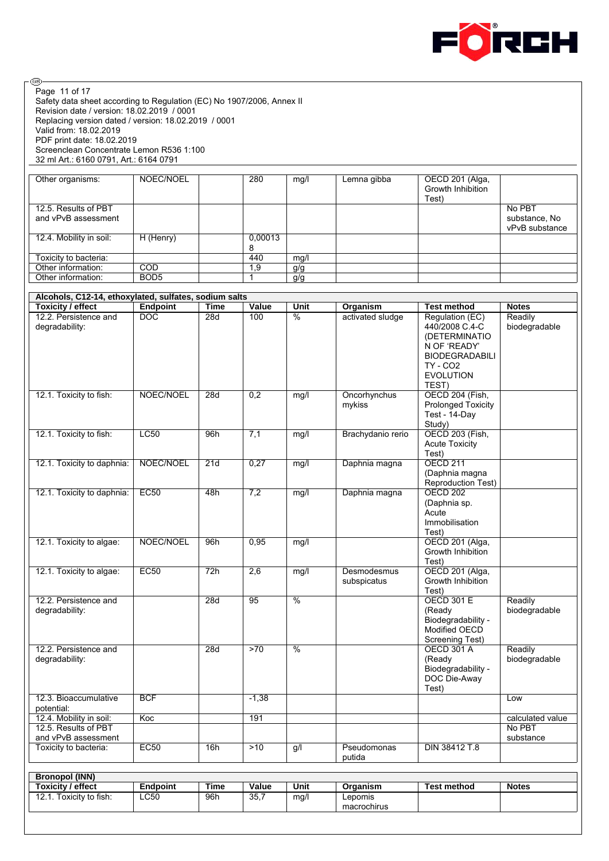

Safety data sheet according to Regulation (EC) No 1907/2006, Annex II Revision date / version: 18.02.2019 / 0001 Replacing version dated / version: 18.02.2019 / 0001 Valid from: 18.02.2019 PDF print date: 18.02.2019 Screenclean Concentrate Lemon R536 1:100 32 ml Art.: 6160 0791, Art.: 6164 0791 Page 11 of 17

 $\circledcirc$ 

| Other organisms:        | NOEC/NOEL        | 280          | mg/l | Lemna gibba | OECD 201 (Alga,<br>Growth Inhibition<br>Test) |                                 |
|-------------------------|------------------|--------------|------|-------------|-----------------------------------------------|---------------------------------|
| 12.5. Results of PBT    |                  |              |      |             |                                               | No PBT                          |
| and vPvB assessment     |                  |              |      |             |                                               | substance, No<br>vPvB substance |
| 12.4. Mobility in soil: | H (Henry)        | 0.00013<br>8 |      |             |                                               |                                 |
| Toxicity to bacteria:   |                  | 440          | mq/1 |             |                                               |                                 |
| Other information:      | COD              | 9. ا         | g/g  |             |                                               |                                 |
| Other information:      | BOD <sub>5</sub> |              | g/g  |             |                                               |                                 |

| Alcohols, C12-14, ethoxylated, sulfates, sodium salts                  |                 |             |         |                          |                            |                                                                                                                                             |                                         |
|------------------------------------------------------------------------|-----------------|-------------|---------|--------------------------|----------------------------|---------------------------------------------------------------------------------------------------------------------------------------------|-----------------------------------------|
| <b>Toxicity / effect</b>                                               | <b>Endpoint</b> | <b>Time</b> | Value   | <b>Unit</b>              | Organism                   | <b>Test method</b>                                                                                                                          | <b>Notes</b>                            |
| 12.2. Persistence and<br>degradability:                                | <b>DOC</b>      | 28d         | 100     | $\frac{0}{0}$            | activated sludge           | Regulation (EC)<br>440/2008 C.4-C<br>(DETERMINATIO<br>N OF 'READY'<br><b>BIODEGRADABILI</b><br><b>TY - CO2</b><br><b>EVOLUTION</b><br>TEST) | Readily<br>biodegradable                |
| 12.1. Toxicity to fish:                                                | NOEC/NOEL       | 28d         | 0,2     | mg/l                     | Oncorhynchus<br>mykiss     | OECD 204 (Fish,<br><b>Prolonged Toxicity</b><br>Test - 14-Day<br>Study)                                                                     |                                         |
| 12.1. Toxicity to fish:                                                | LC50            | 96h         | 7,1     | mg/l                     | Brachydanio rerio          | <b>OECD 203 (Fish,</b><br><b>Acute Toxicity</b><br>Test)                                                                                    |                                         |
| 12.1. Toxicity to daphnia:                                             | NOEC/NOEL       | 21d         | 0,27    | mg/l                     | Daphnia magna              | <b>OECD 211</b><br>(Daphnia magna<br>Reproduction Test)                                                                                     |                                         |
| 12.1. Toxicity to daphnia:                                             | EC50            | 48h         | 7,2     | mg/l                     | Daphnia magna              | <b>OECD 202</b><br>(Daphnia sp.<br>Acute<br>Immobilisation<br>Test)                                                                         |                                         |
| 12.1. Toxicity to algae:                                               | NOEC/NOEL       | 96h         | 0,95    | mg/l                     |                            | OECD 201 (Alga,<br>Growth Inhibition<br>Test)                                                                                               |                                         |
| 12.1. Toxicity to algae:                                               | EC50            | 72h         | 2,6     | mg/l                     | Desmodesmus<br>subspicatus | OECD 201 (Alga,<br>Growth Inhibition<br>Test)                                                                                               |                                         |
| 12.2. Persistence and<br>degradability:                                |                 | 28d         | 95      | $\frac{9}{6}$            |                            | <b>OECD 301 E</b><br>(Ready<br>Biodegradability -<br>Modified OECD<br>Screening Test)                                                       | Readily<br>biodegradable                |
| 12.2. Persistence and<br>degradability:                                |                 | 28d         | >70     | $\overline{\frac{9}{6}}$ |                            | <b>OECD 301 A</b><br>(Ready<br>Biodegradability -<br>DOC Die-Away<br>Test)                                                                  | Readily<br>biodegradable                |
| 12.3. Bioaccumulative<br>potential:                                    | <b>BCF</b>      |             | $-1,38$ |                          |                            |                                                                                                                                             | Low                                     |
| 12.4. Mobility in soil:<br>12.5. Results of PBT<br>and vPvB assessment | Koc             |             | 191     |                          |                            |                                                                                                                                             | calculated value<br>No PBT<br>substance |
| Toxicity to bacteria:                                                  | EC50            | 16h         | $>10$   | g/l                      | Pseudomonas<br>putida      | <b>DIN 38412 T.8</b>                                                                                                                        |                                         |

| <b>Toxicity / effect</b>  | Endpoint | Time | Value | Unit | Organism    | <b>Test method</b> | <b>Notes</b> |
|---------------------------|----------|------|-------|------|-------------|--------------------|--------------|
| Toxicity to fish:<br>12.1 | LC50     | 96h  | 35.7  | mq/l | ∟epomis     |                    |              |
|                           |          |      |       |      | macrochirus |                    |              |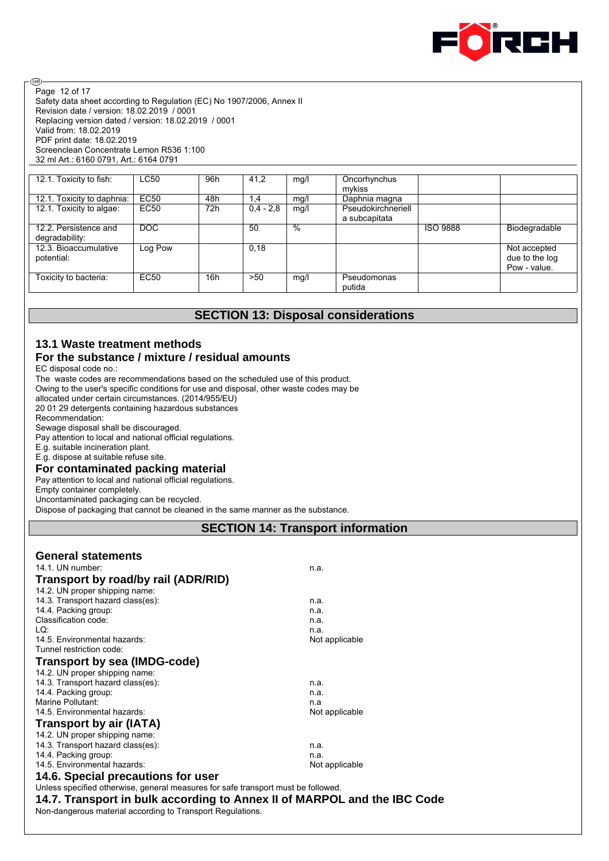

Safety data sheet according to Regulation (EC) No 1907/2006, Annex II Revision date / version: 18.02.2019 / 0001 Replacing version dated / version: 18.02.2019 / 0001 Valid from: 18.02.2019 PDF print date: 18.02.2019 Screenclean Concentrate Lemon R536 1:100 32 ml Art.: 6160 0791, Art.: 6164 0791 Page 12 of 17

| 12.1. Toxicity to fish:    | <b>LC50</b> | 96h | 41.2        | mg/l | Oncorhynchus       |                 |                |
|----------------------------|-------------|-----|-------------|------|--------------------|-----------------|----------------|
|                            |             |     |             |      | mykiss             |                 |                |
| 12.1. Toxicity to daphnia: | <b>EC50</b> | 48h | 1,4         | mg/l | Daphnia magna      |                 |                |
| 12.1. Toxicity to algae:   | EC50        | 72h | $0.4 - 2.8$ | mg/l | Pseudokirchneriell |                 |                |
|                            |             |     |             |      | a subcapitata      |                 |                |
| 12.2. Persistence and      | DOC         |     | 50          | %    |                    | <b>ISO 9888</b> | Biodegradable  |
| degradability:             |             |     |             |      |                    |                 |                |
| 12.3. Bioaccumulative      | Log Pow     |     | 0.18        |      |                    |                 | Not accepted   |
| potential:                 |             |     |             |      |                    |                 | due to the log |
|                            |             |     |             |      |                    |                 | Pow - value.   |
| Toxicity to bacteria:      | EC50        | 16h | >50         | mq/  | Pseudomonas        |                 |                |
|                            |             |     |             |      | putida             |                 |                |

# **SECTION 13: Disposal considerations**

# **13.1 Waste treatment methods**

# **For the substance / mixture / residual amounts**

EC disposal code no.:

ම

The waste codes are recommendations based on the scheduled use of this product.

Owing to the user's specific conditions for use and disposal, other waste codes may be

allocated under certain circumstances. (2014/955/EU)

20 01 29 detergents containing hazardous substances

Recommendation:

Sewage disposal shall be discouraged.

Pay attention to local and national official regulations.

E.g. suitable incineration plant.

E.g. dispose at suitable refuse site.

# **For contaminated packing material**

Pay attention to local and national official regulations.

Empty container completely.

Uncontaminated packaging can be recycled.

Dispose of packaging that cannot be cleaned in the same manner as the substance.

# **SECTION 14: Transport information**

| <b>General statements</b>                                                         |                |
|-----------------------------------------------------------------------------------|----------------|
| 14.1. UN number:                                                                  | n.a.           |
| Transport by road/by rail (ADR/RID)                                               |                |
| 14.2. UN proper shipping name:                                                    |                |
| 14.3. Transport hazard class(es):                                                 | n.a.           |
| 14.4. Packing group:                                                              | n.a.           |
| Classification code:                                                              | n.a.           |
| LQ:                                                                               | n.a.           |
| 14.5 Environmental hazards:                                                       | Not applicable |
| Tunnel restriction code:                                                          |                |
| <b>Transport by sea (IMDG-code)</b>                                               |                |
| 14.2. UN proper shipping name:                                                    |                |
| 14.3. Transport hazard class(es):                                                 | n.a.           |
| 14.4. Packing group:                                                              | n.a.           |
| Marine Pollutant:                                                                 | n.a            |
| 14.5. Environmental hazards:                                                      | Not applicable |
| <b>Transport by air (IATA)</b>                                                    |                |
| 14.2. UN proper shipping name:                                                    |                |
| 14.3. Transport hazard class(es):                                                 | n.a.           |
| 14.4. Packing group:                                                              | n.a.           |
| 14.5. Environmental hazards:                                                      | Not applicable |
| 14.6. Special precautions for user                                                |                |
| Unless specified otherwise, general measures for safe transport must be followed. |                |
| 14.7. Transport in bulk according to Annex II of MARPOL and the IBC Code          |                |

Non-dangerous material according to Transport Regulations.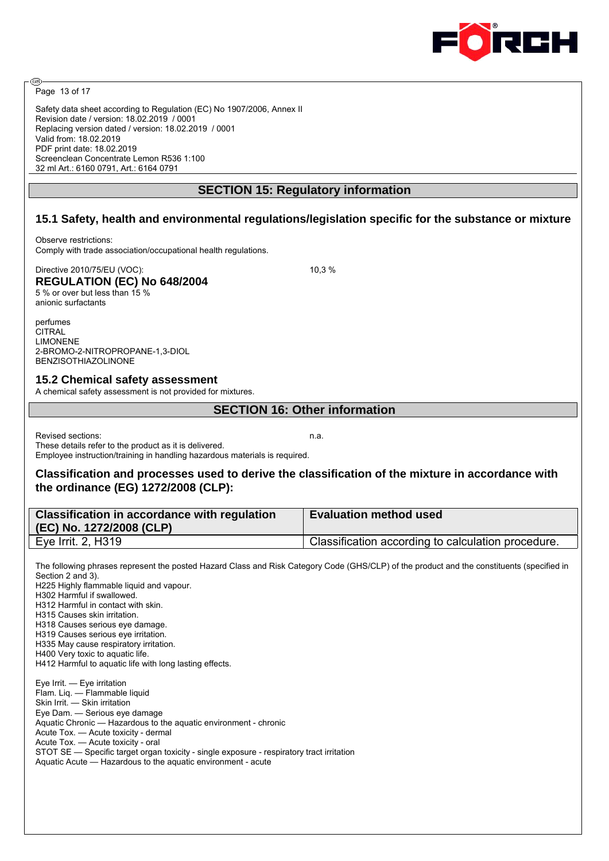

Page 13 of 17

അ

Safety data sheet according to Regulation (EC) No 1907/2006, Annex II Revision date / version: 18.02.2019 / 0001 Replacing version dated / version: 18.02.2019 / 0001 Valid from: 18.02.2019 PDF print date: 18.02.2019 Screenclean Concentrate Lemon R536 1:100 32 ml Art.: 6160 0791, Art.: 6164 0791

# **SECTION 15: Regulatory information**

# **15.1 Safety, health and environmental regulations/legislation specific for the substance or mixture**

Observe restrictions: Comply with trade association/occupational health regulations.

Directive 2010/75/EU (VOC): 10,3 % **REGULATION (EC) No 648/2004** 5 % or over but less than 15 % anionic surfactants

perfumes **CITRAL** LIMONENE 2-BROMO-2-NITROPROPANE-1,3-DIOL BENZISOTHIAZOLINONE

#### **15.2 Chemical safety assessment**

A chemical safety assessment is not provided for mixtures.

#### **SECTION 16: Other information**

Revised sections: n.a. These details refer to the product as it is delivered. Employee instruction/training in handling hazardous materials is required.

#### **Classification and processes used to derive the classification of the mixture in accordance with the ordinance (EG) 1272/2008 (CLP):**

| Classification in accordance with regulation<br>(EC) No. 1272/2008 (CLP) | <b>Evaluation method used</b>                      |
|--------------------------------------------------------------------------|----------------------------------------------------|
| Eye Irrit. 2, H319                                                       | Classification according to calculation procedure. |

The following phrases represent the posted Hazard Class and Risk Category Code (GHS/CLP) of the product and the constituents (specified in Section 2 and 3). H225 Highly flammable liquid and vapour. H302 Harmful if swallowed. H312 Harmful in contact with skin. H315 Causes skin irritation. H318 Causes serious eye damage. H319 Causes serious eye irritation. H335 May cause respiratory irritation.

H400 Very toxic to aquatic life.

H412 Harmful to aquatic life with long lasting effects.

Eye Irrit. — Eye irritation Flam. Liq. — Flammable liquid Skin Irrit. — Skin irritation Eye Dam. — Serious eye damage Aquatic Chronic — Hazardous to the aquatic environment - chronic Acute Tox. — Acute toxicity - dermal Acute Tox. — Acute toxicity - oral STOT SE — Specific target organ toxicity - single exposure - respiratory tract irritation Aquatic Acute — Hazardous to the aquatic environment - acute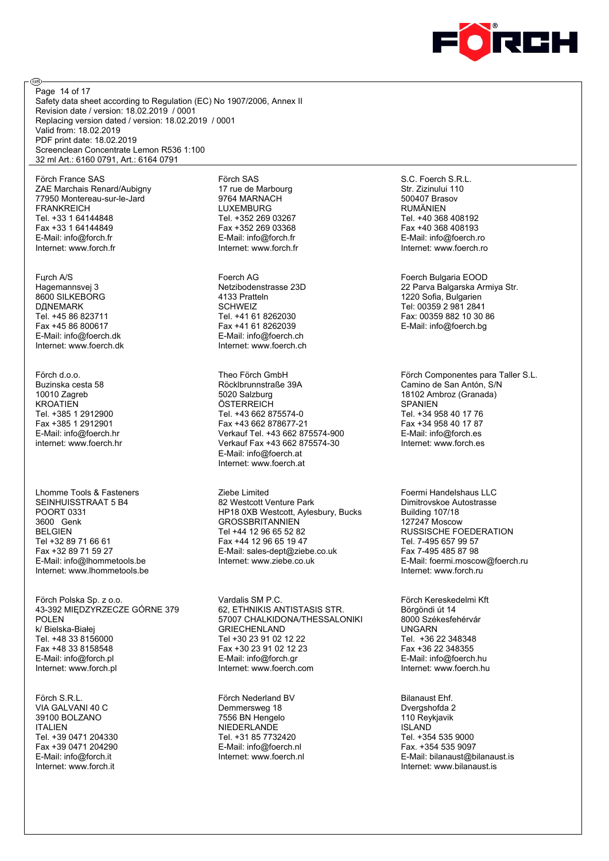

Safety data sheet according to Regulation (EC) No 1907/2006, Annex II Revision date / version: 18.02.2019 / 0001 Replacing version dated / version: 18.02.2019 / 0001 Valid from: 18.02.2019 PDF print date: 18.02.2019 Screenclean Concentrate Lemon R536 1:100 32 ml Art.: 6160 0791, Art.: 6164 0791 Page 14 of 17

Förch France SAS ZAE Marchais Renard/Aubigny 77950 Montereau-sur-le-Jard FRANKREICH Tel. +33 1 64144848 Fax +33 1 64144849 E-Mail: info@forch.fr Internet: www.forch.fr

@

Fцrch A/S Hagemannsvej 3 8600 SILKEBORG DДNEMARK Tel. +45 86 823711 Fax +45 86 800617 E-Mail: info@foerch.dk Internet: www.foerch.dk

Förch d.o.o. Buzinska cesta 58 10010 Zagreb **KROATIEN** Tel. +385 1 2912900 Fax +385 1 2912901 E-Mail: info@foerch.hr internet: www.foerch.hr

Lhomme Tools & Fasteners SEINHUISSTRAAT 5 B4 POORT 0331 3600 Genk BELGIEN Tel +32 89 71 66 61 Fax +32 89 71 59 27 E-Mail: info@lhommetools.be Internet: www.lhommetools.be

Förch Polska Sp. z o.o. 43-392 MIĘDZYRZECZE GÓRNE 379 POLEN k/ Bielska-Białej Tel. +48 33 8156000 Fax +48 33 8158548 E-Mail: info@forch.pl Internet: www.forch.pl

Förch S.R.L. VIA GALVANI 40 C 39100 BOLZANO ITALIEN Tel. +39 0471 204330 Fax +39 0471 204290 E-Mail: info@forch.it Internet: www.forch.it

Förch SAS 17 rue de Marbourg 9764 MARNACH LUXEMBURG Tel. +352 269 03267 Fax +352 269 03368 E-Mail: info@forch.fr Internet: www.forch.fr

Foerch AG Netzibodenstrasse 23D 4133 Pratteln **SCHWEIZ** Tel. +41 61 8262030 Fax +41 61 8262039 E-Mail: info@foerch.ch Internet: www.foerch.ch

Theo Förch GmbH Röcklbrunnstraße 39A 5020 Salzburg **ÖSTERREICH** Tel. +43 662 875574-0 Fax +43 662 878677-21 Verkauf Tel. +43 662 875574-900 Verkauf Fax +43 662 875574-30 E-Mail: info@foerch.at Internet: www.foerch.at

Ziebe Limited 82 Westcott Venture Park HP18 0XB Westcott, Aylesbury, Bucks **GROSSBRITANNIEN** Tel +44 12 96 65 52 82 Fax +44 12 96 65 19 47 E-Mail: sales-dept@ziebe.co.uk Internet: www.ziebe.co.uk

Vardalis SM P.C. 62, ETHNIKIS ANTISTASIS STR. 57007 CHALKIDONA/THESSALONIKI GRIECHENLAND Tel +30 23 91 02 12 22 Fax +30 23 91 02 12 23 E-Mail: info@forch.gr Internet: www.foerch.com

Förch Nederland BV Demmersweg 18 7556 BN Hengelo NIEDERLANDE Tel. +31 85 7732420 E-Mail: info@foerch.nl Internet: www.foerch.nl

S.C. Foerch S.R.L. Str. Zizinului 110 500407 Brasov RUMÄNIEN Tel. +40 368 408192 Fax +40 368 408193 E-Mail: info@foerch.ro Internet: www.foerch.ro

Foerch Bulgaria EOOD 22 Parva Balgarska Armiya Str. 1220 Sofia, Bulgarien Tel: 00359 2 981 2841 Fax: 00359 882 10 30 86 E-Mail: info@foerch.bg

Förch Componentes para Taller S.L. Camino de San Antón, S/N 18102 Ambroz (Granada) SPANIEN Tel. +34 958 40 17 76 Fax +34 958 40 17 87 E-Mail: info@forch.es Internet: www.forch.es

Foermi Handelshaus LLC Dimitrovskoe Autostrasse Building 107/18 127247 Moscow RUSSISCHE FOEDERATION Tel. 7-495 657 99 57 Fax 7-495 485 87 98 E-Mail: foermi.moscow@foerch.ru Internet: www.forch.ru

Förch Kereskedelmi Kft Börgöndi út 14 8000 Székesfehérvár UNGARN Tel. +36 22 348348 Fax +36 22 348355 E-Mail: info@foerch.hu Internet: www.foerch.hu

Bilanaust Ehf. Dvergshofda 2 110 Reykjavik ISLAND Tel. +354 535 9000 Fax. +354 535 9097 E-Mail: bilanaust@bilanaust.is Internet: www.bilanaust.is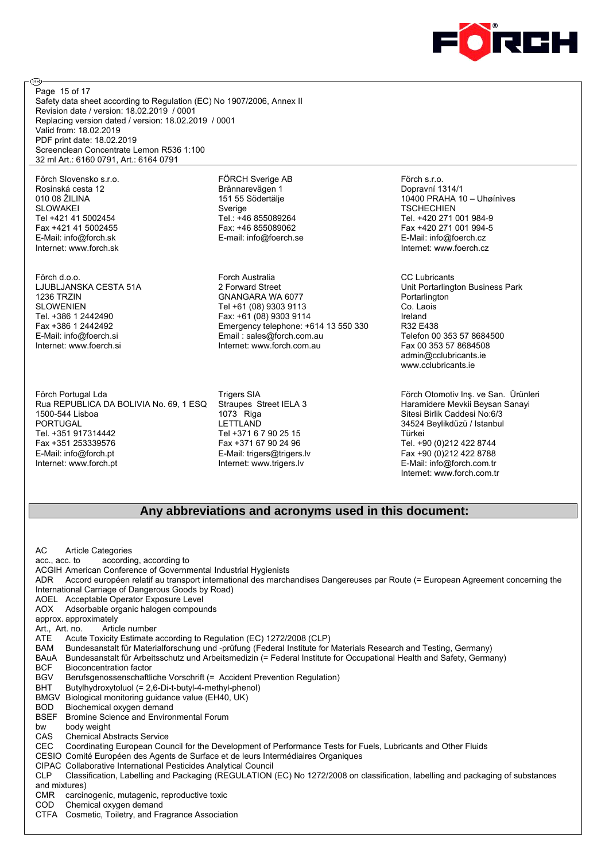

Safety data sheet according to Regulation (EC) No 1907/2006, Annex II Revision date / version: 18.02.2019 / 0001 Replacing version dated / version: 18.02.2019 / 0001 Valid from: 18.02.2019 PDF print date: 18.02.2019 Screenclean Concentrate Lemon R536 1:100 32 ml Art.: 6160 0791, Art.: 6164 0791 Page 15 of 17

Förch Slovensko s.r.o. Rosinská cesta 12 010 08 ŽILINA SLOWAKEI Tel +421 41 5002454 Fax +421 41 5002455 E-Mail: info@forch.sk Internet: www.forch.sk

@

Förch d.o.o. LJUBLJANSKA CESTA 51A 1236 TRZIN SLOWENIEN Tel. +386 1 2442490 Fax +386 1 2442492 E-Mail: info@foerch.si Internet: www.foerch.si

Förch Portugal Lda Rua REPUBLICA DA BOLIVIA No. 69, 1 ESQ 1500-544 Lisboa PORTUGAL Tel. +351 917314442 Fax +351 253339576 E-Mail: info@forch.pt Internet: www.forch.pt

FÖRCH Sverige AB Brännarevägen 1 151 55 Södertälje Sverige Tel.: +46 855089264 Fax: +46 855089062 E-mail: info@foerch.se

Forch Australia 2 Forward Street GNANGARA WA 6077 Tel +61 (08) 9303 9113 Fax: +61 (08) 9303 9114 Emergency telephone: +614 13 550 330 Email : sales@forch.com.au Internet: www.forch.com.au

Trigers SIA Straupes Street IELA 3 1073 Riga LETTLAND Tel +371 6 7 90 25 15 Fax +371 67 90 24 96 E-Mail: trigers@trigers.lv Internet: www.trigers.lv

Förch s.r.o. Dopravní 1314/1 10400 PRAHA 10 – Uhøínìves **TSCHECHIEN** Tel. +420 271 001 984-9 Fax +420 271 001 994-5 E-Mail: info@foerch.cz Internet: www.foerch.cz

CC Lubricants Unit Portarlington Business Park **Portarlington** Co. Laois Ireland R32 E438 Telefon 00 353 57 8684500 Fax 00 353 57 8684508 admin@cclubricants.ie www.cclubricants.ie

Förch Otomotiv Inş. ve San. Ürünleri Haramidere Mevkii Beysan Sanayi Sitesi Birlik Caddesi No:6/3 34524 Beylikdüzü / Istanbul Türkei Tel. +90 (0)212 422 8744 Fax +90 (0)212 422 8788 E-Mail: info@forch.com.tr Internet: www.forch.com.tr

#### **Any abbreviations and acronyms used in this document:**

AC Article Categories acc., acc. to according, according to ACGIH American Conference of Governmental Industrial Hygienists ADR Accord européen relatif au transport international des marchandises Dangereuses par Route (= European Agreement concerning the International Carriage of Dangerous Goods by Road) AOEL Acceptable Operator Exposure Level AOX Adsorbable organic halogen compounds approx. approximately<br>Art., Art. no. Artic Article number ATE Acute Toxicity Estimate according to Regulation (EC) 1272/2008 (CLP) BAM Bundesanstalt für Materialforschung und -prüfung (Federal Institute for Materials Research and Testing, Germany) BAuA Bundesanstalt für Arbeitsschutz und Arbeitsmedizin (= Federal Institute for Occupational Health and Safety, Germany) BCF Bioconcentration factor<br>BGV Berufsgenossenschaftli Berufsgenossenschaftliche Vorschrift (= Accident Prevention Regulation) BHT Butylhydroxytoluol (= 2,6-Di-t-butyl-4-methyl-phenol) BMGV Biological monitoring guidance value (EH40, UK) BOD Biochemical oxygen demand BSEF Bromine Science and Environmental Forum bw body weight CAS Chemical Abstracts Service CEC Coordinating European Council for the Development of Performance Tests for Fuels, Lubricants and Other Fluids CESIO Comité Européen des Agents de Surface et de leurs Intermédiaires Organiques CIPAC Collaborative International Pesticides Analytical Council CLP Classification, Labelling and Packaging (REGULATION (EC) No 1272/2008 on classification, labelling and packaging of substances and mixtures) CMR carcinogenic, mutagenic, reproductive toxic COD Chemical oxygen demand CTFA Cosmetic, Toiletry, and Fragrance Association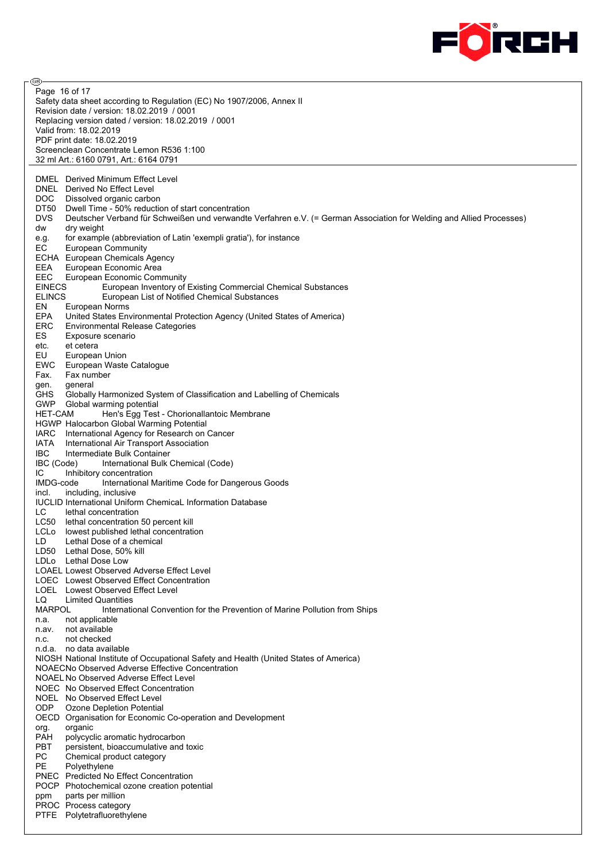

ම Page 16 of 17Safety data sheet according to Regulation (EC) No 1907/2006, Annex II Revision date / version: 18.02.2019 / 0001 Replacing version dated / version: 18.02.2019 / 0001 Valid from: 18.02.2019 PDF print date: 18.02.2019 Screenclean Concentrate Lemon R536 1:100 32 ml Art.: 6160 0791, Art.: 6164 0791 DMEL Derived Minimum Effect Level DNEL Derived No Effect Level DOC Dissolved organic carbon DT50 Dwell Time - 50% reduction of start concentration<br>DVS Deutscher Verband für Schweißen und verwandte Deutscher Verband für Schweißen und verwandte Verfahren e.V. (= German Association for Welding and Allied Processes) dw dry weight e.g. for example (abbreviation of Latin 'exempli gratia'), for instance EC European Community ECHA European Chemicals Agency EEA European Economic Area EEC European Economic Community EINECS European Inventory of Existing Commercial Chemical Substances European List of Notified Chemical Substances EN European Norms EPA United States Environmental Protection Agency (United States of America) ERC Environmental Release Categories ES Exposure scenario etc. et cetera EU European Union EWC European Waste Catalogue Fax. Fax number gen. general GHS Globally Harmonized System of Classification and Labelling of Chemicals GWP Global warming potential HET-CAM Hen's Egg Test - Chorionallantoic Membrane HGWP Halocarbon Global Warming Potential IARC International Agency for Research on Cancer IATA International Air Transport Association<br>IBC Intermediate Bulk Container IBC Intermediate Bulk Container<br>IBC (Code) International Bulk International Bulk Chemical (Code) IC Inhibitory concentration IMDG-code International Maritime Code for Dangerous Goods incl. including, inclusive IUCLID International Uniform ChemicaL Information Database LC lethal concentration LC50 lethal concentration 50 percent kill LCLo lowest published lethal concentration LD Lethal Dose of a chemical LD50 Lethal Dose, 50% kill LDLo Lethal Dose Low LOAEL Lowest Observed Adverse Effect Level LOEC Lowest Observed Effect Concentration LOEL Lowest Observed Effect Level LQ Limited Quantities<br>
MARPOI lnternation International Convention for the Prevention of Marine Pollution from Ships n.a. not applicable n.av. not available n.c. not checked n.d.a. no data available NIOSH National Institute of Occupational Safety and Health (United States of America) NOAECNo Observed Adverse Effective Concentration NOAEL No Observed Adverse Effect Level NOEC No Observed Effect Concentration NOEL No Observed Effect Level ODP Ozone Depletion Potential OECD Organisation for Economic Co-operation and Development org. organic PAH polycyclic aromatic hydrocarbon<br>PBT persistent bioaccumulative and persistent, bioaccumulative and toxic PC Chemical product category PE Polyethylene PNEC Predicted No Effect Concentration POCP Photochemical ozone creation potential ppm parts per million PROC Process category PTFE Polytetrafluorethylene